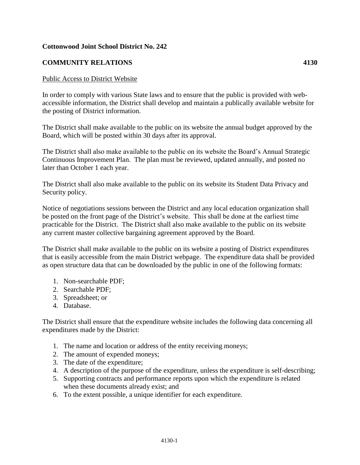## **Cottonwood Joint School District No. 242**

## **COMMUNITY RELATIONS 4130**

## Public Access to District Website

In order to comply with various State laws and to ensure that the public is provided with webaccessible information, the District shall develop and maintain a publically available website for the posting of District information.

The District shall make available to the public on its website the annual budget approved by the Board, which will be posted within 30 days after its approval.

The District shall also make available to the public on its website the Board's Annual Strategic Continuous Improvement Plan. The plan must be reviewed, updated annually, and posted no later than October 1 each year.

The District shall also make available to the public on its website its Student Data Privacy and Security policy.

Notice of negotiations sessions between the District and any local education organization shall be posted on the front page of the District's website. This shall be done at the earliest time practicable for the District. The District shall also make available to the public on its website any current master collective bargaining agreement approved by the Board.

The District shall make available to the public on its website a posting of District expenditures that is easily accessible from the main District webpage. The expenditure data shall be provided as open structure data that can be downloaded by the public in one of the following formats:

- 1. Non-searchable PDF;
- 2. Searchable PDF;
- 3. Spreadsheet; or
- 4. Database.

The District shall ensure that the expenditure website includes the following data concerning all expenditures made by the District:

- 1. The name and location or address of the entity receiving moneys;
- 2. The amount of expended moneys;
- 3. The date of the expenditure;
- 4. A description of the purpose of the expenditure, unless the expenditure is self-describing;
- 5. Supporting contracts and performance reports upon which the expenditure is related when these documents already exist; and
- 6. To the extent possible, a unique identifier for each expenditure.